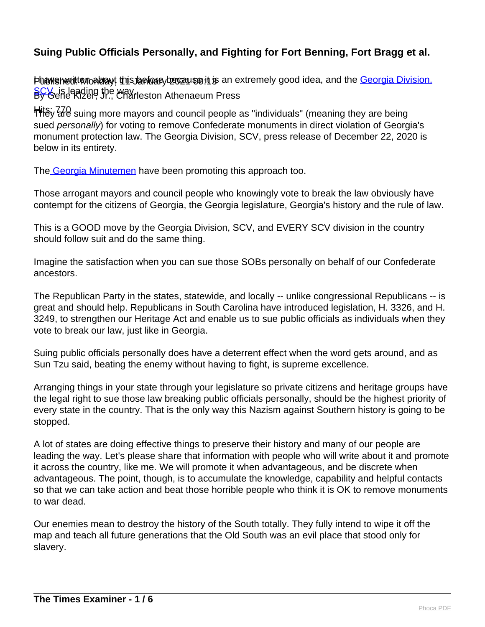Phawshedittan about this before y because it is an extremely good idea, and the [Georgia Division,](https://www.georgiascv.org/) [SCV](https://www.georgiascv.org/), is leading the way.<br>By Gene Kizer, Jr., Charleston Athenaeum Press

Hits; 770 suing more mayors and council people as "individuals" (meaning they are being sued personally) for voting to remove Confederate monuments in direct violation of Georgia's monument protection law. The Georgia Division, SCV, press release of December 22, 2020 is below in its entirety.

Th[e Georgia Minutemen](http://georgiaminutemen.com/) have been promoting this approach too.

Those arrogant mayors and council people who knowingly vote to break the law obviously have contempt for the citizens of Georgia, the Georgia legislature, Georgia's history and the rule of law.

This is a GOOD move by the Georgia Division, SCV, and EVERY SCV division in the country should follow suit and do the same thing.

Imagine the satisfaction when you can sue those SOBs personally on behalf of our Confederate ancestors.

The Republican Party in the states, statewide, and locally -- unlike congressional Republicans -- is great and should help. Republicans in South Carolina have introduced legislation, H. 3326, and H. 3249, to strengthen our Heritage Act and enable us to sue public officials as individuals when they vote to break our law, just like in Georgia.

Suing public officials personally does have a deterrent effect when the word gets around, and as Sun Tzu said, beating the enemy without having to fight, is supreme excellence.

Arranging things in your state through your legislature so private citizens and heritage groups have the legal right to sue those law breaking public officials personally, should be the highest priority of every state in the country. That is the only way this Nazism against Southern history is going to be stopped.

A lot of states are doing effective things to preserve their history and many of our people are leading the way. Let's please share that information with people who will write about it and promote it across the country, like me. We will promote it when advantageous, and be discrete when advantageous. The point, though, is to accumulate the knowledge, capability and helpful contacts so that we can take action and beat those horrible people who think it is OK to remove monuments to war dead.

Our enemies mean to destroy the history of the South totally. They fully intend to wipe it off the map and teach all future generations that the Old South was an evil place that stood only for slavery.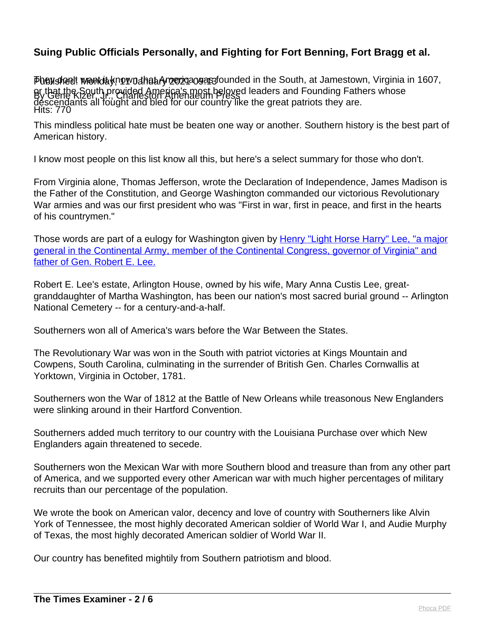Pheysked! wendaynown that Ameriqa og a stounded in the South, at Jamestown, Virginia in 1607, By Gene Kizer, Jr., Charleston Athenaeum Press Hits: 770 or that the South provided America's most beloved leaders and Founding Fathers whose descendants all fought and bled for our country like the great patriots they are.

This mindless political hate must be beaten one way or another. Southern history is the best part of American history.

I know most people on this list know all this, but here's a select summary for those who don't.

From Virginia alone, Thomas Jefferson, wrote the Declaration of Independence, James Madison is the Father of the Constitution, and George Washington commanded our victorious Revolutionary War armies and was our first president who was "First in war, first in peace, and first in the hearts of his countrymen."

Those words are part of a eulogy for Washington given by [Henry "Light Horse Harry" Lee, "a major](https://www.mountvernon.org/library/digitalhistory/digital-encyclopedia/article/first-in-war-first-in-peace-and-first-in-the-hearts-of-his-countrymen/) [general in the Continental Army, member of the Continental Congress, governor of Virginia" and](https://www.mountvernon.org/library/digitalhistory/digital-encyclopedia/article/first-in-war-first-in-peace-and-first-in-the-hearts-of-his-countrymen/) [father of Gen. Robert E. Lee.](https://www.mountvernon.org/library/digitalhistory/digital-encyclopedia/article/first-in-war-first-in-peace-and-first-in-the-hearts-of-his-countrymen/)

Robert E. Lee's estate, Arlington House, owned by his wife, Mary Anna Custis Lee, greatgranddaughter of Martha Washington, has been our nation's most sacred burial ground -- Arlington National Cemetery -- for a century-and-a-half.

Southerners won all of America's wars before the War Between the States.

The Revolutionary War was won in the South with patriot victories at Kings Mountain and Cowpens, South Carolina, culminating in the surrender of British Gen. Charles Cornwallis at Yorktown, Virginia in October, 1781.

Southerners won the War of 1812 at the Battle of New Orleans while treasonous New Englanders were slinking around in their Hartford Convention.

Southerners added much territory to our country with the Louisiana Purchase over which New Englanders again threatened to secede.

Southerners won the Mexican War with more Southern blood and treasure than from any other part of America, and we supported every other American war with much higher percentages of military recruits than our percentage of the population.

We wrote the book on American valor, decency and love of country with Southerners like Alvin York of Tennessee, the most highly decorated American soldier of World War I, and Audie Murphy of Texas, the most highly decorated American soldier of World War II.

Our country has benefited mightily from Southern patriotism and blood.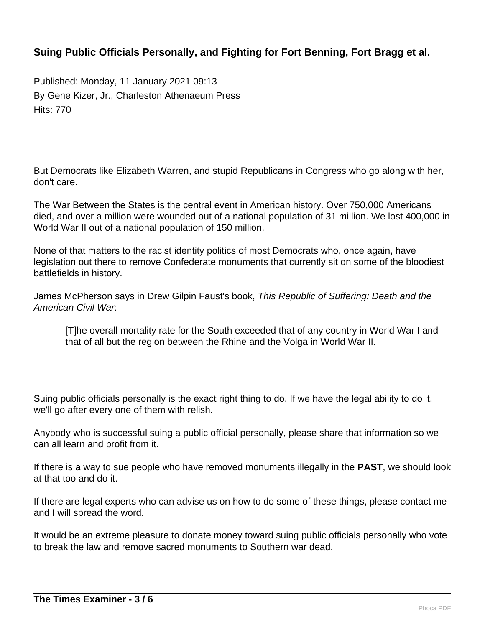Published: Monday, 11 January 2021 09:13 By Gene Kizer, Jr., Charleston Athenaeum Press Hits: 770

But Democrats like Elizabeth Warren, and stupid Republicans in Congress who go along with her, don't care.

The War Between the States is the central event in American history. Over 750,000 Americans died, and over a million were wounded out of a national population of 31 million. We lost 400,000 in World War II out of a national population of 150 million.

None of that matters to the racist identity politics of most Democrats who, once again, have legislation out there to remove Confederate monuments that currently sit on some of the bloodiest battlefields in history.

James McPherson says in Drew Gilpin Faust's book, This Republic of Suffering: Death and the American Civil War:

[T]he overall mortality rate for the South exceeded that of any country in World War I and that of all but the region between the Rhine and the Volga in World War II.

Suing public officials personally is the exact right thing to do. If we have the legal ability to do it, we'll go after every one of them with relish.

Anybody who is successful suing a public official personally, please share that information so we can all learn and profit from it.

If there is a way to sue people who have removed monuments illegally in the **PAST**, we should look at that too and do it.

If there are legal experts who can advise us on how to do some of these things, please contact me and I will spread the word.

It would be an extreme pleasure to donate money toward suing public officials personally who vote to break the law and remove sacred monuments to Southern war dead.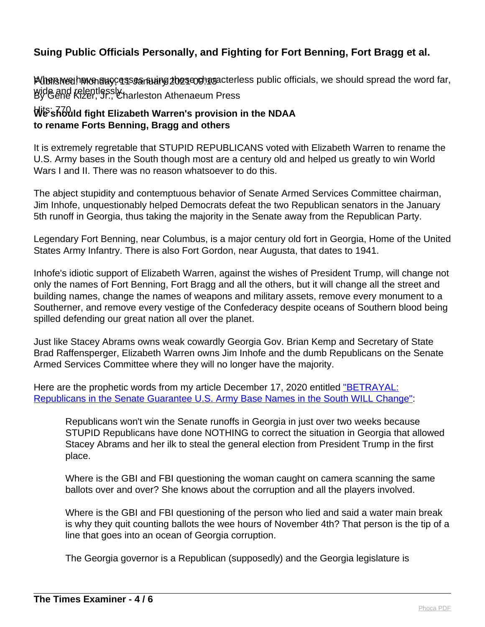PUbensivee!havon auccesses an uning 2023 and associations public officials, we should spread the word far, wide and relentlessly.<br>By Gene Kizer, Jr., Charleston Athenaeum Press

#### Hits: 770 **We should fight Elizabeth Warren's provision in the NDAA to rename Forts Benning, Bragg and others**

It is extremely regretable that STUPID REPUBLICANS voted with Elizabeth Warren to rename the U.S. Army bases in the South though most are a century old and helped us greatly to win World Wars I and II. There was no reason whatsoever to do this.

The abject stupidity and contemptuous behavior of Senate Armed Services Committee chairman, Jim Inhofe, unquestionably helped Democrats defeat the two Republican senators in the January 5th runoff in Georgia, thus taking the majority in the Senate away from the Republican Party.

Legendary Fort Benning, near Columbus, is a major century old fort in Georgia, Home of the United States Army Infantry. There is also Fort Gordon, near Augusta, that dates to 1941.

Inhofe's idiotic support of Elizabeth Warren, against the wishes of President Trump, will change not only the names of Fort Benning, Fort Bragg and all the others, but it will change all the street and building names, change the names of weapons and military assets, remove every monument to a Southerner, and remove every vestige of the Confederacy despite oceans of Southern blood being spilled defending our great nation all over the planet.

Just like Stacey Abrams owns weak cowardly Georgia Gov. Brian Kemp and Secretary of State Brad Raffensperger, Elizabeth Warren owns Jim Inhofe and the dumb Republicans on the Senate Armed Services Committee where they will no longer have the majority.

Here are the prophetic words from my article December 17, 2020 entitled ["BETRAYAL:](https://www.charlestonathenaeumpress.com/betrayal-republicans-in-the-senate-guarantee-us-army-base-names-in-the-south-will-change/) [Republicans in the Senate Guarantee U.S. Army Base Names in the South WILL Change"](https://www.charlestonathenaeumpress.com/betrayal-republicans-in-the-senate-guarantee-us-army-base-names-in-the-south-will-change/):

Republicans won't win the Senate runoffs in Georgia in just over two weeks because STUPID Republicans have done NOTHING to correct the situation in Georgia that allowed Stacey Abrams and her ilk to steal the general election from President Trump in the first place.

Where is the GBI and FBI questioning the woman caught on camera scanning the same ballots over and over? She knows about the corruption and all the players involved.

Where is the GBI and FBI questioning of the person who lied and said a water main break is why they quit counting ballots the wee hours of November 4th? That person is the tip of a line that goes into an ocean of Georgia corruption.

The Georgia governor is a Republican (supposedly) and the Georgia legislature is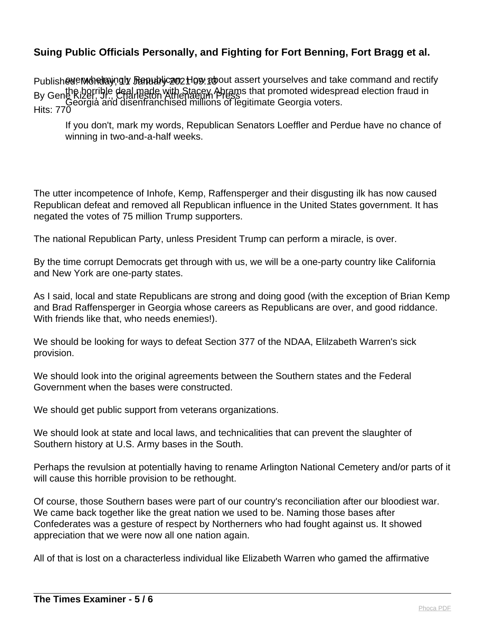Publish@deMondrayngly Republyc202How about assert yourselves and take command and rectify By Gene Rizerrible deal made with Stacey Abrams that promoted widespread election fraud in Hits: 770 Georgia and disenfranchised millions of legitimate Georgia voters.

If you don't, mark my words, Republican Senators Loeffler and Perdue have no chance of winning in two-and-a-half weeks.

The utter incompetence of Inhofe, Kemp, Raffensperger and their disgusting ilk has now caused Republican defeat and removed all Republican influence in the United States government. It has negated the votes of 75 million Trump supporters.

The national Republican Party, unless President Trump can perform a miracle, is over.

By the time corrupt Democrats get through with us, we will be a one-party country like California and New York are one-party states.

As I said, local and state Republicans are strong and doing good (with the exception of Brian Kemp and Brad Raffensperger in Georgia whose careers as Republicans are over, and good riddance. With friends like that, who needs enemies!).

We should be looking for ways to defeat Section 377 of the NDAA, Elilzabeth Warren's sick provision.

We should look into the original agreements between the Southern states and the Federal Government when the bases were constructed.

We should get public support from veterans organizations.

We should look at state and local laws, and technicalities that can prevent the slaughter of Southern history at U.S. Army bases in the South.

Perhaps the revulsion at potentially having to rename Arlington National Cemetery and/or parts of it will cause this horrible provision to be rethought.

Of course, those Southern bases were part of our country's reconciliation after our bloodiest war. We came back together like the great nation we used to be. Naming those bases after Confederates was a gesture of respect by Northerners who had fought against us. It showed appreciation that we were now all one nation again.

All of that is lost on a characterless individual like Elizabeth Warren who gamed the affirmative